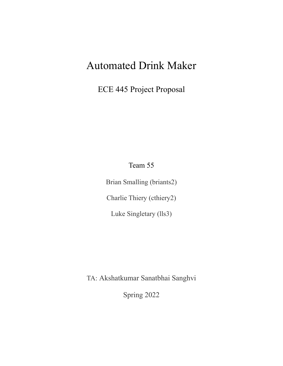# Automated Drink Maker

ECE 445 Project Proposal

Team 55

Brian Smalling (briants2) Charlie Thiery (cthiery2) Luke Singletary (lls3)

TA: Akshatkumar Sanatbhai Sanghvi

Spring 2022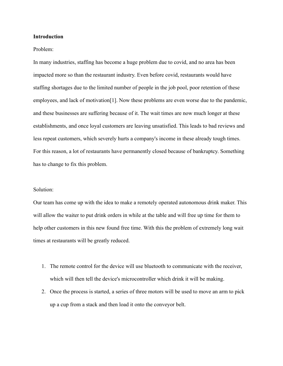## **Introduction**

## Problem:

In many industries, staffing has become a huge problem due to covid, and no area has been impacted more so than the restaurant industry. Even before covid, restaurants would have staffing shortages due to the limited number of people in the job pool, poor retention of these employees, and lack of motivation<sup>[1]</sup>. Now these problems are even worse due to the pandemic, and these businesses are suffering because of it. The wait times are now much longer at these establishments, and once loyal customers are leaving unsatisfied. This leads to bad reviews and less repeat customers, which severely hurts a company's income in these already tough times. For this reason, a lot of restaurants have permanently closed because of bankruptcy. Something has to change to fix this problem.

#### Solution:

Our team has come up with the idea to make a remotely operated autonomous drink maker. This will allow the waiter to put drink orders in while at the table and will free up time for them to help other customers in this new found free time. With this the problem of extremely long wait times at restaurants will be greatly reduced.

- 1. The remote control for the device will use bluetooth to communicate with the receiver, which will then tell the device's microcontroller which drink it will be making.
- 2. Once the process is started, a series of three motors will be used to move an arm to pick up a cup from a stack and then load it onto the conveyor belt.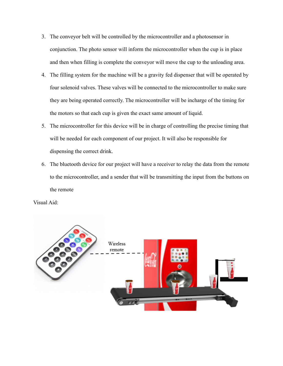- 3. The conveyor belt will be controlled by the microcontroller and a photosensor in conjunction. The photo sensor will inform the microcontroller when the cup is in place and then when filling is complete the conveyor will move the cup to the unloading area.
- 4. The filling system for the machine will be a gravity fed dispenser that will be operated by four solenoid valves. These valves will be connected to the microcontroller to make sure they are being operated correctly. The microcontroller will be incharge of the timing for the motors so that each cup is given the exact same amount of liquid.
- 5. The microcontroller for this device will be in charge of controlling the precise timing that will be needed for each component of our project. It will also be responsible for dispensing the correct drink.
- 6. The bluetooth device for our project will have a receiver to relay the data from the remote to the microcontroller, and a sender that will be transmitting the input from the buttons on the remote

Visual Aid:

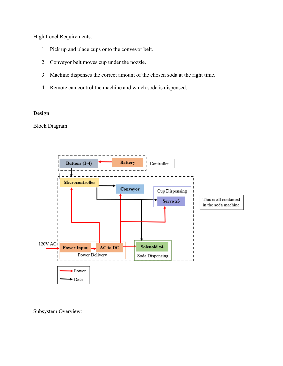High Level Requirements:

- 1. Pick up and place cups onto the conveyor belt.
- 2. Conveyor belt moves cup under the nozzle.
- 3. Machine dispenses the correct amount of the chosen soda at the right time.
- 4. Remote can control the machine and which soda is dispensed.

# **Design**

Block Diagram:



Subsystem Overview: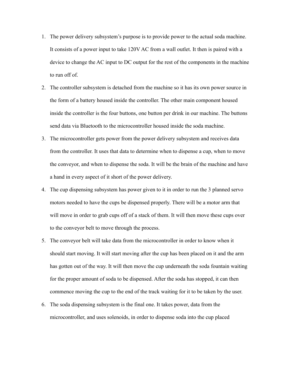- 1. The power delivery subsystem's purpose is to provide power to the actual soda machine. It consists of a power input to take 120V AC from a wall outlet. It then is paired with a device to change the AC input to DC output for the rest of the components in the machine to run off of.
- 2. The controller subsystem is detached from the machine so it has its own power source in the form of a battery housed inside the controller. The other main component housed inside the controller is the four buttons, one button per drink in our machine. The buttons send data via Bluetooth to the microcontroller housed inside the soda machine.
- 3. The microcontroller gets power from the power delivery subsystem and receives data from the controller. It uses that data to determine when to dispense a cup, when to move the conveyor, and when to dispense the soda. It will be the brain of the machine and have a hand in every aspect of it short of the power delivery.
- 4. The cup dispensing subsystem has power given to it in order to run the 3 planned servo motors needed to have the cups be dispensed properly. There will be a motor arm that will move in order to grab cups off of a stack of them. It will then move these cups over to the conveyor belt to move through the process.
- 5. The conveyor belt will take data from the microcontroller in order to know when it should start moving. It will start moving after the cup has been placed on it and the arm has gotten out of the way. It will then move the cup underneath the soda fountain waiting for the proper amount of soda to be dispensed. After the soda has stopped, it can then commence moving the cup to the end of the track waiting for it to be taken by the user.
- 6. The soda dispensing subsystem is the final one. It takes power, data from the microcontroller, and uses solenoids, in order to dispense soda into the cup placed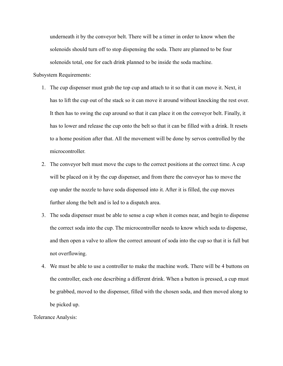underneath it by the conveyor belt. There will be a timer in order to know when the solenoids should turn off to stop dispensing the soda. There are planned to be four solenoids total, one for each drink planned to be inside the soda machine.

Subsystem Requirements:

- 1. The cup dispenser must grab the top cup and attach to it so that it can move it. Next, it has to lift the cup out of the stack so it can move it around without knocking the rest over. It then has to swing the cup around so that it can place it on the conveyor belt. Finally, it has to lower and release the cup onto the belt so that it can be filled with a drink. It resets to a home position after that. All the movement will be done by servos controlled by the microcontroller.
- 2. The conveyor belt must move the cups to the correct positions at the correct time. A cup will be placed on it by the cup dispenser, and from there the conveyor has to move the cup under the nozzle to have soda dispensed into it. After it is filled, the cup moves further along the belt and is led to a dispatch area.
- 3. The soda dispenser must be able to sense a cup when it comes near, and begin to dispense the correct soda into the cup. The microcontroller needs to know which soda to dispense, and then open a valve to allow the correct amount of soda into the cup so that it is full but not overflowing.
- 4. We must be able to use a controller to make the machine work. There will be 4 buttons on the controller, each one describing a different drink. When a button is pressed, a cup must be grabbed, moved to the dispenser, filled with the chosen soda, and then moved along to be picked up.

Tolerance Analysis: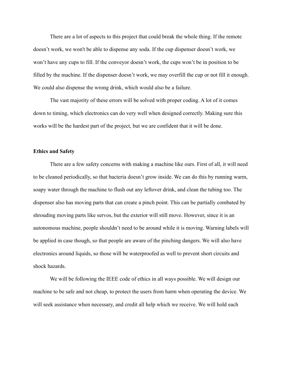There are a lot of aspects to this project that could break the whole thing. If the remote doesn't work, we won't be able to dispense any soda. If the cup dispenser doesn't work, we won't have any cups to fill. If the conveyor doesn't work, the cups won't be in position to be filled by the machine. If the dispenser doesn't work, we may overfill the cup or not fill it enough. We could also dispense the wrong drink, which would also be a failure.

The vast majority of these errors will be solved with proper coding. A lot of it comes down to timing, which electronics can do very well when designed correctly. Making sure this works will be the hardest part of the project, but we are confident that it will be done.

## **Ethics and Safety**

There are a few safety concerns with making a machine like ours. First of all, it will need to be cleaned periodically, so that bacteria doesn't grow inside. We can do this by running warm, soapy water through the machine to flush out any leftover drink, and clean the tubing too. The dispenser also has moving parts that can create a pinch point. This can be partially combated by shrouding moving parts like servos, but the exterior will still move. However, since it is an autonomous machine, people shouldn't need to be around while it is moving. Warning labels will be applied in case though, so that people are aware of the pinching dangers. We will also have electronics around liquids, so those will be waterproofed as well to prevent short circuits and shock hazards.

We will be following the IEEE code of ethics in all ways possible. We will design our machine to be safe and not cheap, to protect the users from harm when operating the device. We will seek assistance when necessary, and credit all help which we receive. We will hold each